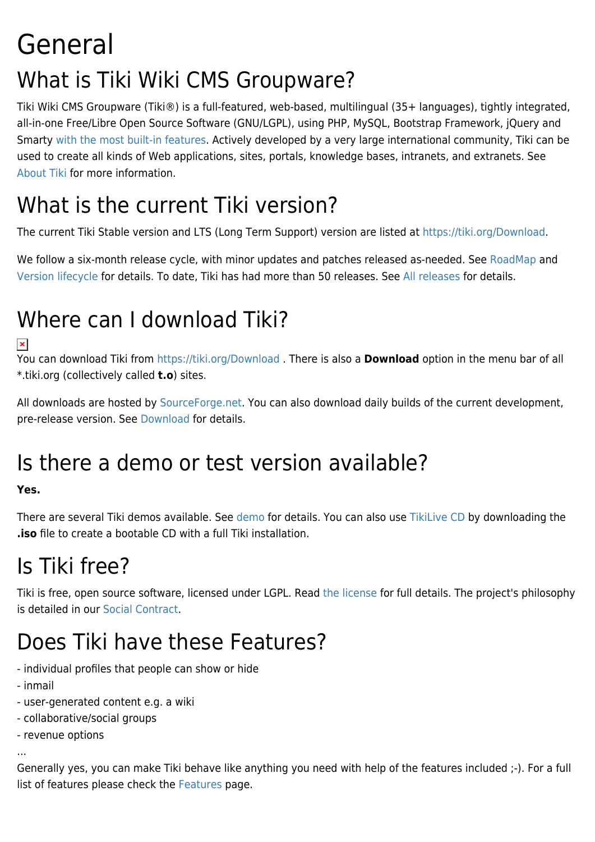# General What is Tiki Wiki CMS Groupware?

Tiki Wiki CMS Groupware (Tiki®) is a full-featured, web-based, multilingual (35+ languages), tightly integrated, all-in-one Free/Libre Open Source Software (GNU/LGPL), using PHP, MySQL, Bootstrap Framework, jQuery and Smarty [with the most built-in features](http://tiki.org/Free%20and%20open-source%20software%20Web%20Application%20with%20the%20most%20built-in%20features). Actively developed by a very large international community, Tiki can be used to create all kinds of Web applications, sites, portals, knowledge bases, intranets, and extranets. See [About Tiki](http://info.tiki.org/About%20Tiki) for more information.

## What is the current Tiki version?

The current Tiki Stable version and LTS (Long Term Support) version are listed at [https://tiki.org/Download.](https://tiki.org/Download)

We follow a six-month release cycle, with minor updates and patches released as-needed. See [RoadMap](http://dev.tiki.org/RoadMap) and [Version lifecycle](http://info.tiki.org/Version%20lifecycle) for details. To date, Tiki has had more than 50 releases. See [All releases](http://tiki.org/All%20releases) for details.

## Where can I download Tiki?

You can download Tiki from<https://tiki.org/Download>. There is also a **Download** option in the menu bar of all \*.tiki.org (collectively called **t.o**) sites.

All downloads are hosted by [SourceForge.net.](https://sourceforge.net/projects/tikiwiki/) You can also download daily builds of the current development, pre-release version. See [Download](http://info.tiki.org/Download) for details.

## Is there a demo or test version available?

#### **Yes.**

There are several Tiki demos available. See [demo](http://info.tiki.org/demo) for details. You can also use [TikiLive CD](https://tiki.org/TikiLiveCD) by downloading the **.iso** file to create a bootable CD with a full Tiki installation.

## Is Tiki free?

Tiki is free, open source software, licensed under LGPL. Read [the license](https://tiki.org/license.txt) for full details. The project's philosophy is detailed in our [Social Contract](https://tiki.org/social+contract).

## Does Tiki have these Features?

- individual profiles that people can show or hide
- inmail
- user-generated content e.g. a wiki
- collaborative/social groups
- revenue options

...

Generally yes, you can make Tiki behave like anything you need with help of the features included ;-). For a full list of features please check the [Features](https://doc.tiki.org/Features) page.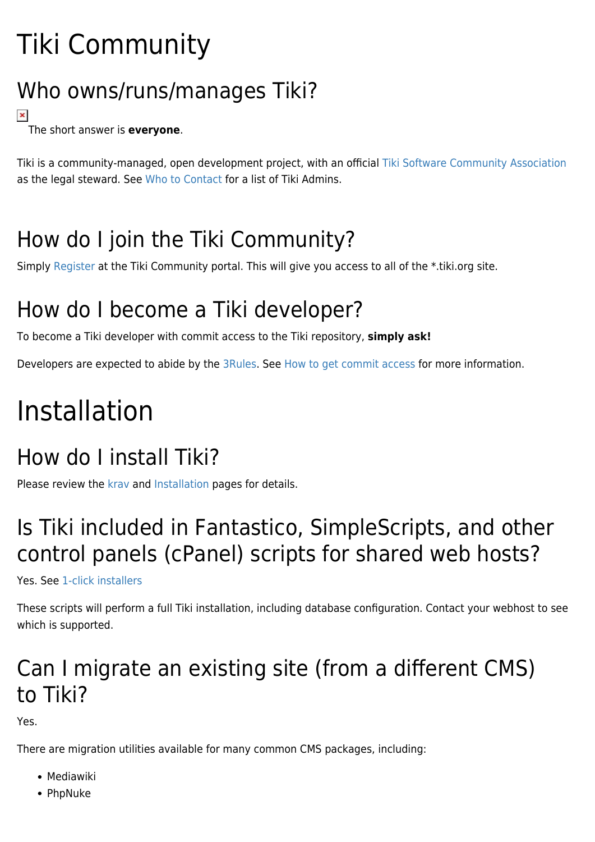# Tiki Community

## Who owns/runs/manages Tiki?

#### $\pmb{\times}$ The short answer is **everyone**.

Tiki is a community-managed, open development project, with an official [Tiki Software Community Association](https://tiki.org/Tiki+Software+Community+Association?bl=y) as the legal steward. See [Who to Contact](https://tiki.org/WhoWhat) for a list of Tiki Admins.

## How do I join the Tiki Community?

Simply [Register](https://tiki.org/register) at the Tiki Community portal. This will give you access to all of the \*.tiki.org site.

## How do I become a Tiki developer?

To become a Tiki developer with commit access to the Tiki repository, **simply ask!**

Developers are expected to abide by the [3Rules.](http://dev.tiki.org/3Rules) See [How to get commit access](http://dev.tiki.org/How%20to%20get%20commit%20access) for more information.

# Installation

## How do I install Tiki?

Please review the [krav](https://doc.tiki.org/krav) and [Installation](https://doc.tiki.org/Installation) pages for details.

## Is Tiki included in Fantastico, SimpleScripts, and other control panels (cPanel) scripts for shared web hosts?

Yes. See [1-click installers](http://tiki.org/1-click%20installers)

These scripts will perform a full Tiki installation, including database configuration. Contact your webhost to see which is supported.

## Can I migrate an existing site (from a different CMS) to Tiki?

Yes.

There are migration utilities available for many common CMS packages, including:

- Mediawiki
- PhpNuke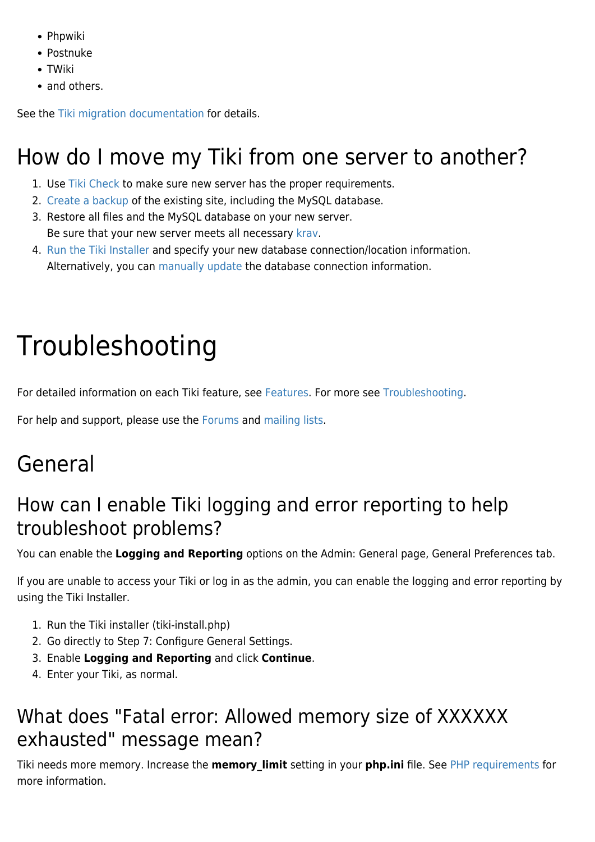- Phpwiki
- Postnuke
- TWiki
- and others.

See the [Tiki migration documentation](https://tiki.org/tiki-browse_categories.php?parentId=76) for details.

## How do I move my Tiki from one server to another?

- 1. Use [Tiki Check](https://doc.tiki.org/Check) to make sure new server has the proper requirements.
- 2. [Create a backup](https://doc.tiki.org/Backup) of the existing site, including the MySQL database.
- 3. Restore all files and the MySQL database on your new server. Be sure that your new server meets all necessary [krav](https://doc.tiki.org/krav).
- 4. [Run the Tiki Installer](https://doc.tiki.org/Installation#Run_the_Tiki_installer_tiki-install.php_) and specify your new database connection/location information. Alternatively, you can [manually update](https://doc.tiki.org/Manual-Installation) the database connection information.

# Troubleshooting

For detailed information on each Tiki feature, see [Features.](https://doc.tiki.org/Features) For more see [Troubleshooting.](https://doc.tiki.org/Troubleshooting)

For help and support, please use the [Forums](https://tiki.org/forums) and [mailing lists](https://tiki.org/Mailing+Lists).

## General

#### How can I enable Tiki logging and error reporting to help troubleshoot problems?

You can enable the **Logging and Reporting** options on the Admin: General page, General Preferences tab.

If you are unable to access your Tiki or log in as the admin, you can enable the logging and error reporting by using the Tiki Installer.

- 1. Run the Tiki installer (tiki-install.php)
- 2. Go directly to Step 7: Configure General Settings.
- 3. Enable **Logging and Reporting** and click **Continue**.
- 4. Enter your Tiki, as normal.

### What does "Fatal error: Allowed memory size of XXXXXX exhausted" message mean?

Tiki needs more memory. Increase the **memory\_limit** setting in your **php.ini** file. See [PHP requirements](https://doc.tiki.org/krav) for more information.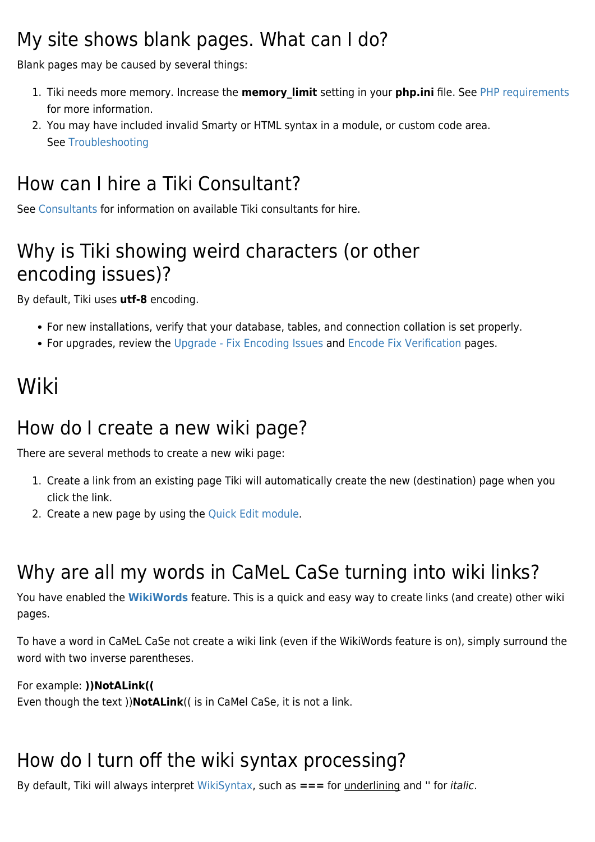#### My site shows blank pages. What can I do?

Blank pages may be caused by several things:

- 1. Tiki needs more memory. Increase the **memory\_limit** setting in your **php.ini** file. See [PHP requirements](https://doc.tiki.org/krav) for more information.
- 2. You may have included invalid Smarty or HTML syntax in a module, or custom code area. See [Troubleshooting](https://doc.tiki.org/Troubleshooting#Blank_pages)

### How can I hire a Tiki Consultant?

See [Consultants](http://info.tiki.org/Consultants) for information on available Tiki consultants for hire.

### Why is Tiki showing weird characters (or other encoding issues)?

By default, Tiki uses **utf-8** encoding.

- For new installations, verify that your database, tables, and connection collation is set properly.
- For upgrades, review the [Upgrade Fix Encoding Issues](https://doc.tiki.org/Upgrade#Fix_the_encoding_issue) and [Encode Fix Verification](https://doc.tiki.org/Encode-fix-verification) pages.

## Wiki

#### How do I create a new wiki page?

There are several methods to create a new wiki page:

- 1. Create a link from an existing page Tiki will automatically create the new (destination) page when you click the link.
- 2. Create a new page by using the [Quick Edit module](https://doc.tiki.org/Module-quick_edit).

## Why are all my words in CaMeL CaSe turning into wiki links?

You have enabled the **[WikiWords](https://doc.tiki.org/Wiki-Config)** feature. This is a quick and easy way to create links (and create) other wiki pages.

To have a word in CaMeL CaSe not create a wiki link (even if the WikiWords feature is on), simply surround the word with two inverse parentheses.

#### For example: **))NotALink((**

Even though the text ))**NotALink**(( is in CaMel CaSe, it is not a link.

## How do I turn off the wiki syntax processing?

By default, Tiki will always interpret [WikiSyntax,](https://doc.tiki.org/WikiSyntax) such as **===** for underlining and '' for italic.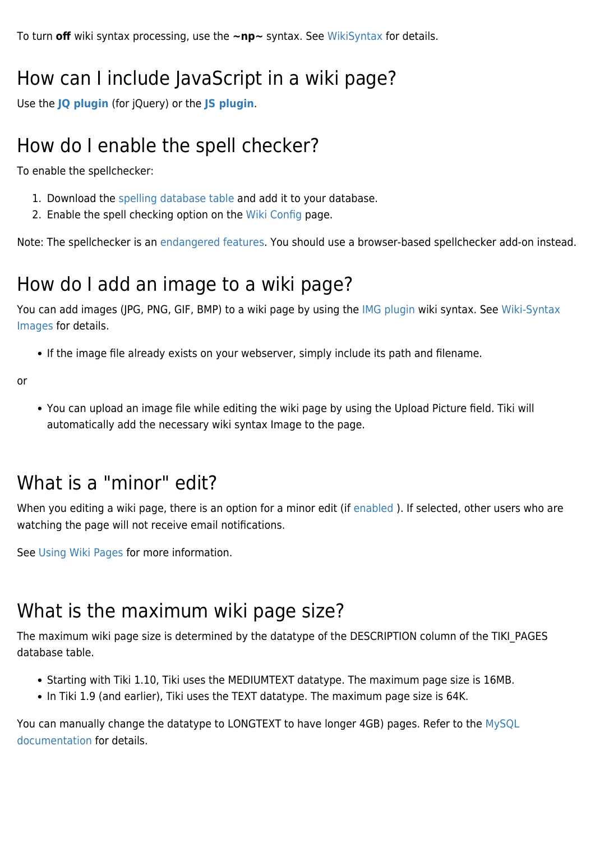To turn **off** wiki syntax processing, use the **~np~** syntax. See [WikiSyntax](https://doc.tiki.org/WikiSyntax) for details.

#### How can I include JavaScript in a wiki page?

Use the **[JQ plugin](https://doc.tiki.org/PluginJq)** (for jQuery) or the **[JS plugin](https://doc.tiki.org/PluginJS)**.

#### How do I enable the spell checker?

To enable the spellchecker:

- 1. Download the [spelling database table](https://sourceforge.net/project/showfiles.php?group_id=64258&package_id=66975) and add it to your database.
- 2. Enable the spell checking option on the [Wiki Config](https://doc.tiki.org/Wiki-Config) page.

Note: The spellchecker is an [endangered features](http://dev.tiki.org/endangered%20features). You should use a browser-based spellchecker add-on instead.

#### How do I add an image to a wiki page?

You can add images (JPG, PNG, GIF, BMP) to a wiki page by using the [IMG plugin](https://doc.tiki.org/PluginImg) wiki syntax. See [Wiki-Syntax](https://doc.tiki.org/Wiki-Syntax-Images) [Images](https://doc.tiki.org/Wiki-Syntax-Images) for details.

• If the image file already exists on your webserver, simply include its path and filename.

or

You can upload an image file while editing the wiki page by using the Upload Picture field. Tiki will automatically add the necessary wiki syntax Image to the page.

#### What is a "minor" edit?

When you editing a wiki page, there is an option for a minor edit (if enabled). If selected, other users who are watching the page will not receive email notifications.

See [Using Wiki Pages](https://doc.tiki.org/using%20wiki%20pages#Page_Monitoring) for more information.

#### What is the maximum wiki page size?

The maximum wiki page size is determined by the datatype of the DESCRIPTION column of the TIKI\_PAGES database table.

- Starting with Tiki 1.10, Tiki uses the MEDIUMTEXT datatype. The maximum page size is 16MB.
- In Tiki 1.9 (and earlier), Tiki uses the TEXT datatype. The maximum page size is 64K.

You can manually change the datatype to LONGTEXT to have longer 4GB) pages. Refer to the [MySQL](http://dev.mysql.com/doc/refman/5.1/en/blob.html) [documentation](http://dev.mysql.com/doc/refman/5.1/en/blob.html) for details.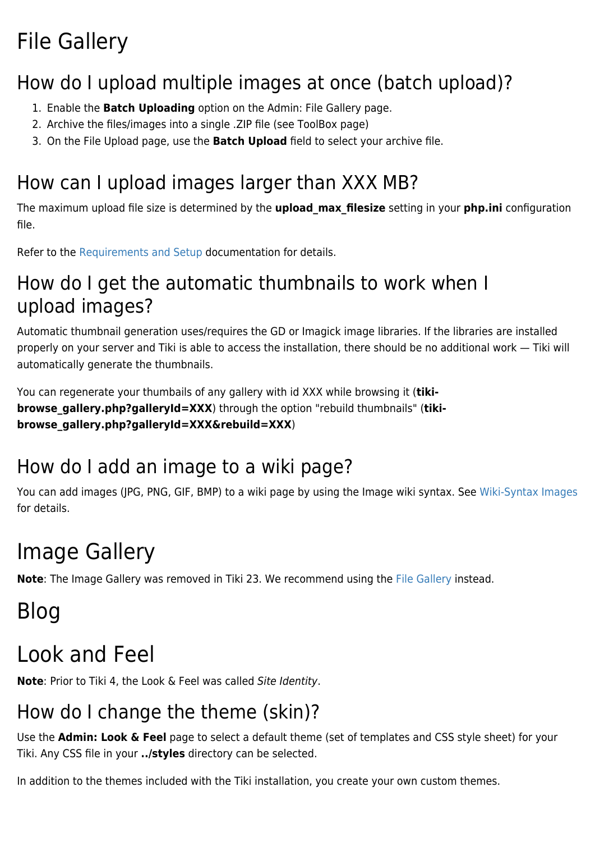## File Gallery

### How do I upload multiple images at once (batch upload)?

- 1. Enable the **Batch Uploading** option on the Admin: File Gallery page.
- 2. Archive the files/images into a single .ZIP file (see ToolBox page)
- 3. On the File Upload page, use the **Batch Upload** field to select your archive file.

### How can I upload images larger than XXX MB?

The maximum upload file size is determined by the **upload\_max\_filesize** setting in your **php.ini** configuration file.

Refer to the [Requirements and Setup](https://doc.tiki.org/Requirements%20and%20Setup) documentation for details.

#### How do I get the automatic thumbnails to work when I upload images?

Automatic thumbnail generation uses/requires the GD or Imagick image libraries. If the libraries are installed properly on your server and Tiki is able to access the installation, there should be no additional work — Tiki will automatically generate the thumbnails.

You can regenerate your thumbails of any gallery with id XXX while browsing it (**tikibrowse gallery.php?galleryId=XXX**) through the option "rebuild thumbnails" (tiki**browse\_gallery.php?galleryId=XXX&rebuild=XXX**)

### How do I add an image to a wiki page?

You can add images (JPG, PNG, GIF, BMP) to a wiki page by using the Image wiki syntax. See [Wiki-Syntax Images](https://doc.tiki.org/Wiki-Syntax-Images) for details.

## Image Gallery

**Note**: The Image Gallery was removed in Tiki 23. We recommend using the [File Gallery](#page--1-0) instead.

## Blog

## Look and Feel

**Note**: Prior to Tiki 4, the Look & Feel was called Site Identity.

### How do I change the theme (skin)?

Use the **Admin: Look & Feel** page to select a default theme (set of templates and CSS style sheet) for your Tiki. Any CSS file in your **../styles** directory can be selected.

In addition to the themes included with the Tiki installation, you create your own custom themes.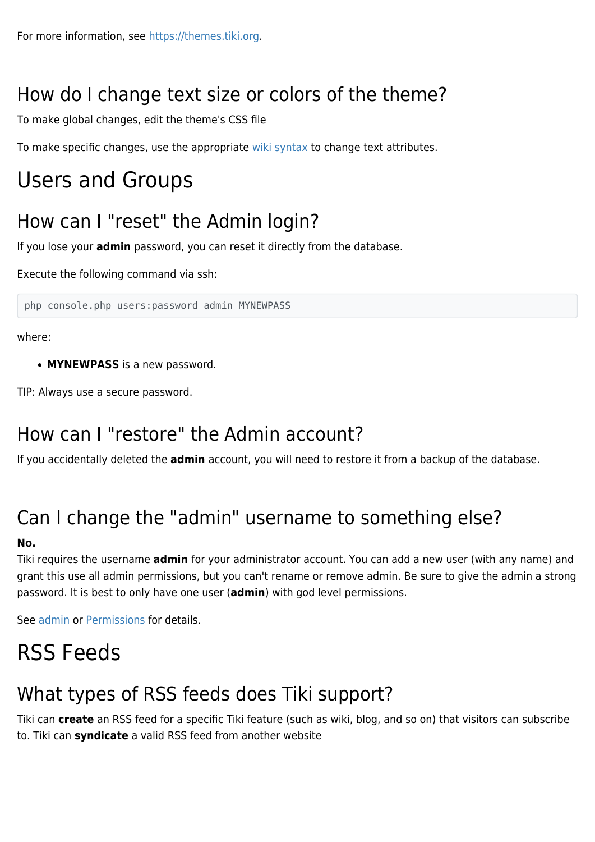### How do I change text size or colors of the theme?

To make global changes, edit the theme's CSS file

To make specific changes, use the appropriate [wiki syntax](https://doc.tiki.org/Wiki-Syntax) to change text attributes.

## Users and Groups

#### How can I "reset" the Admin login?

If you lose your **admin** password, you can reset it directly from the database.

Execute the following command via ssh:

php console.php users:password admin MYNEWPASS

where:

**MYNEWPASS** is a new password.

TIP: Always use a secure password.

#### How can I "restore" the Admin account?

If you accidentally deleted the **admin** account, you will need to restore it from a backup of the database.

### Can I change the "admin" username to something else?

#### **No.**

Tiki requires the username **admin** for your administrator account. You can add a new user (with any name) and grant this use all admin permissions, but you can't rename or remove admin. Be sure to give the admin a strong password. It is best to only have one user (**admin**) with god level permissions.

See [admin](https://doc.tiki.org/admin) or [Permissions](https://doc.tiki.org/Permissions) for details.

## RSS Feeds

#### What types of RSS feeds does Tiki support?

Tiki can **create** an RSS feed for a specific Tiki feature (such as wiki, blog, and so on) that visitors can subscribe to. Tiki can **syndicate** a valid RSS feed from another website